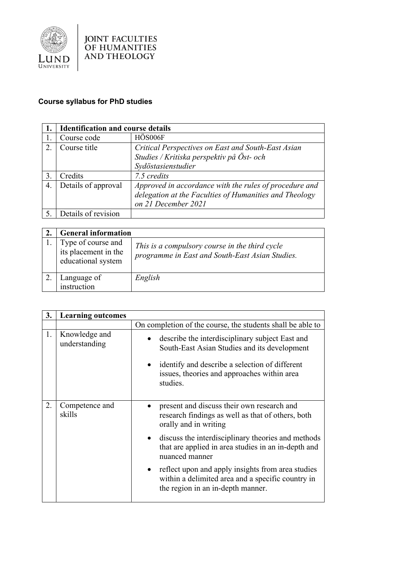

## **Course syllabus for PhD studies**

|    | <b>Identification and course details</b> |                                                                                                                                         |
|----|------------------------------------------|-----------------------------------------------------------------------------------------------------------------------------------------|
|    | Course code                              | HÖS006F                                                                                                                                 |
| 2. | Course title                             | Critical Perspectives on East and South-East Asian                                                                                      |
|    |                                          | Studies / Kritiska perspektiv på Öst- och                                                                                               |
|    |                                          | Sydöstasienstudier                                                                                                                      |
| 3. | Credits                                  | 7.5 credits                                                                                                                             |
| 4. | Details of approval                      | Approved in accordance with the rules of procedure and<br>delegation at the Faculties of Humanities and Theology<br>on 21 December 2021 |
|    | Details of revision                      |                                                                                                                                         |

| <b>General information</b>                                       |                                                                                                   |
|------------------------------------------------------------------|---------------------------------------------------------------------------------------------------|
| Type of course and<br>its placement in the<br>educational system | This is a compulsory course in the third cycle<br>programme in East and South-East Asian Studies. |
| Language of<br>instruction                                       | English                                                                                           |

| 3. | <b>Learning outcomes</b>       |                                                                                                                                                                                                                                                                                                                                                                                             |
|----|--------------------------------|---------------------------------------------------------------------------------------------------------------------------------------------------------------------------------------------------------------------------------------------------------------------------------------------------------------------------------------------------------------------------------------------|
|    |                                | On completion of the course, the students shall be able to                                                                                                                                                                                                                                                                                                                                  |
| 1. | Knowledge and<br>understanding | describe the interdisciplinary subject East and<br>$\bullet$<br>South-East Asian Studies and its development<br>identify and describe a selection of different<br>issues, theories and approaches within area<br>studies.                                                                                                                                                                   |
| 2. | Competence and<br>skills       | present and discuss their own research and<br>research findings as well as that of others, both<br>orally and in writing<br>discuss the interdisciplinary theories and methods<br>$\bullet$<br>that are applied in area studies in an in-depth and<br>nuanced manner<br>reflect upon and apply insights from area studies<br>$\bullet$<br>within a delimited area and a specific country in |
|    |                                | the region in an in-depth manner.                                                                                                                                                                                                                                                                                                                                                           |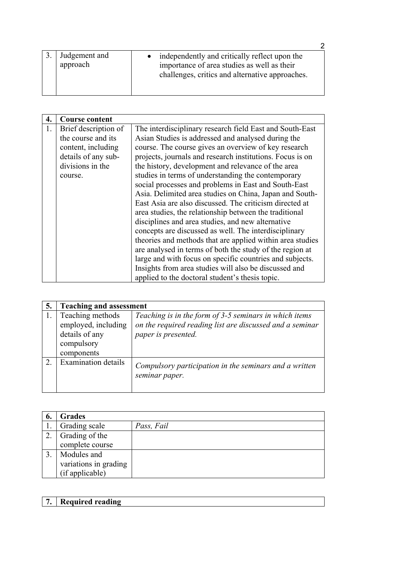| Judgement and<br>approach | independently and critically reflect upon the<br>importance of area studies as well as their<br>challenges, critics and alternative approaches. |
|---------------------------|-------------------------------------------------------------------------------------------------------------------------------------------------|

| 4. | <b>Course content</b> |                                                           |
|----|-----------------------|-----------------------------------------------------------|
| 1. | Brief description of  | The interdisciplinary research field East and South-East  |
|    | the course and its    | Asian Studies is addressed and analysed during the        |
|    | content, including    | course. The course gives an overview of key research      |
|    | details of any sub-   | projects, journals and research institutions. Focus is on |
|    | divisions in the      | the history, development and relevance of the area        |
|    | course.               | studies in terms of understanding the contemporary        |
|    |                       | social processes and problems in East and South-East      |
|    |                       | Asia. Delimited area studies on China, Japan and South-   |
|    |                       | East Asia are also discussed. The criticism directed at   |
|    |                       | area studies, the relationship between the traditional    |
|    |                       | disciplines and area studies, and new alternative         |
|    |                       | concepts are discussed as well. The interdisciplinary     |
|    |                       | theories and methods that are applied within area studies |
|    |                       | are analysed in terms of both the study of the region at  |
|    |                       | large and with focus on specific countries and subjects.  |
|    |                       | Insights from area studies will also be discussed and     |
|    |                       | applied to the doctoral student's thesis topic.           |

| 5. | <b>Teaching and assessment</b>                                                        |                                                                                                                                           |
|----|---------------------------------------------------------------------------------------|-------------------------------------------------------------------------------------------------------------------------------------------|
|    | Teaching methods<br>employed, including<br>details of any<br>compulsory<br>components | Teaching is in the form of 3-5 seminars in which items<br>on the required reading list are discussed and a seminar<br>paper is presented. |
| 2. | <b>Examination details</b>                                                            | Compulsory participation in the seminars and a written<br>seminar paper.                                                                  |

| 6. | <b>Grades</b>         |            |
|----|-----------------------|------------|
|    | Grading scale         | Pass, Fail |
| 2. | Grading of the        |            |
|    | complete course       |            |
|    | Modules and           |            |
|    | variations in grading |            |
|    | (if applicable)       |            |

## **7. Required reading**